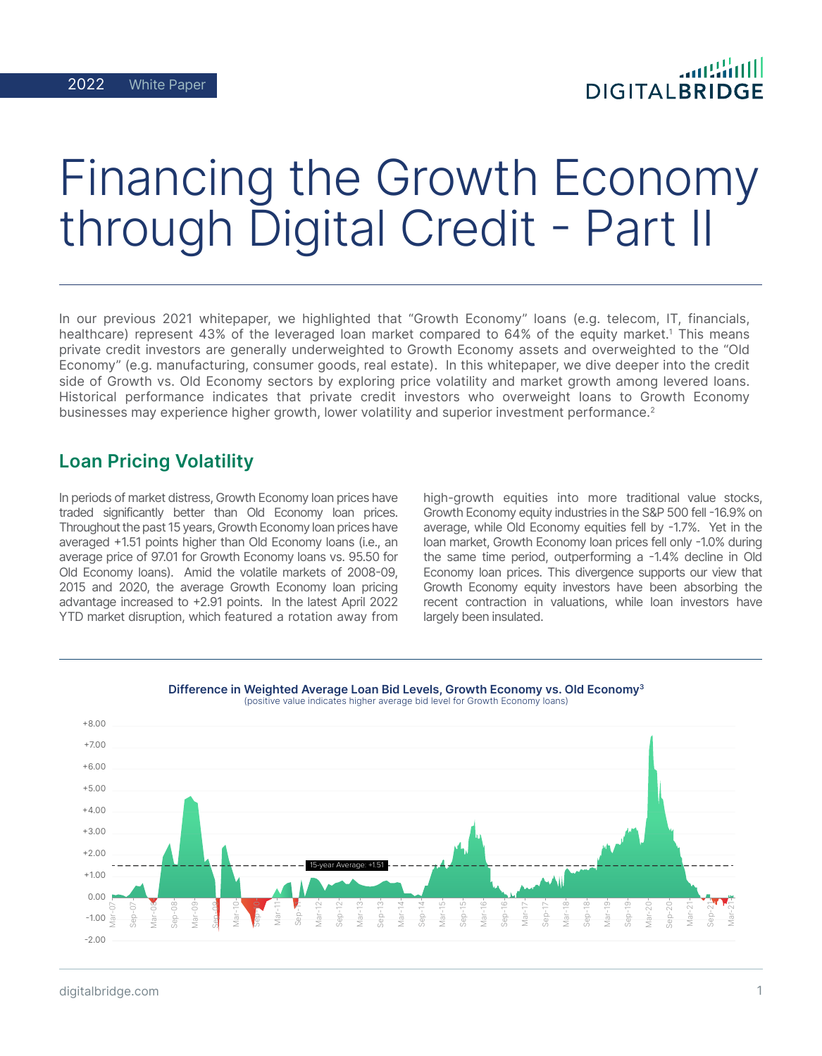# Financing the Growth Economy uELEdRuvEu Š"•T-

In our previous 2021 whitepaper, we highlighted that "Growth Economy" loans (e.g. telecom, IT, financials, healthcare) represent 43% of the leveraged loan market compared to 64% of the equity market.<sup>1</sup> This means private credit investors are generally underweighted to Growth Economy assets and overweighted to the "Old Economy" (e.g. manufacturing, consumer goods, real estate). In this whitepaper, we dive deeper into the credit side of Growth vs. Old Economy sectors by exploring price volatility and market growth among levered loans. Historical performance indicates that private credit investors who overweight loans to Growth Economy businesses may experience higher growth, lower volatility and superior investment performance.<sup>2</sup>

## Loan Pricing Volatility

In periods of market distress, Growth Economy loan prices have traded significantly better than Old Economy loan prices. Throughout the past 15 years, Growth Economy loan prices have averaged +1.51 points higher than Old Economy loans (i.e., an average price of 97.01 for Growth Economy loans vs. 95.50 for Old Economy loans). Amid the volatile markets of 2008-09, 2015 and 2020, the average Growth Economy loan pricing advantage increased to +2.91 points. In the latest April 2022 YTD market disruption, which featured a rotation away from high-growth equities into more traditional value stocks, Growth Economy equity industries in the S&P 500 fell -16.9% on average, while Old Economy equities fell by -1.7%. Yet in the loan market, Growth Economy loan prices fell only -1.0% during the same time period, outperforming a -1.4% decline in Old Economy loan prices. This divergence supports our view that Growth Economy equity investors have been absorbing the recent contraction in valuations, while loan investors have largely been insulated.



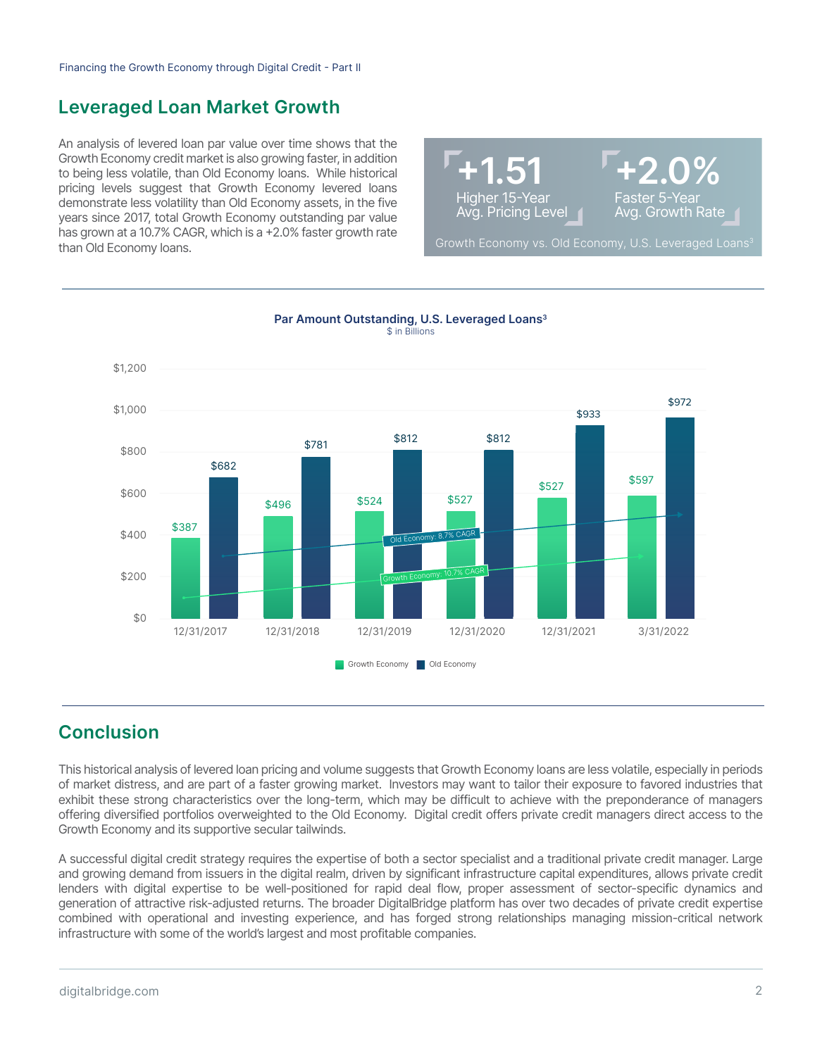## Leveraged Loan Market Growth

An analysis of levered loan par value over time shows that the Growth Economy credit market is also growing faster, in addition to being less volatile, than Old Economy loans. While historical pricing levels suggest that Growth Economy levered loans demonstrate less volatility than Old Economy assets, in the five years since 2017, total Growth Economy outstanding par value has grown at a 10.7% CAGR, which is a +2.0% faster growth rate than Old Economy loans.





Par Amount Outstanding, U.S. Leveraged Loans<sup>3</sup> \$ in Billions

## **Conclusion**

This historical analysis of levered loan pricing and volume suggests that Growth Economy loans are less volatile, especially in periods of market distress, and are part of a faster growing market. Investors may want to tailor their exposure to favored industries that exhibit these strong characteristics over the long-term, which may be difficult to achieve with the preponderance of managers offering diversified portfolios overweighted to the Old Economy. Digital credit offers private credit managers direct access to the Growth Economy and its supportive secular tailwinds.

A successful digital credit strategy requires the expertise of both a sector specialist and a traditional private credit manager. Large and growing demand from issuers in the digital realm, driven by significant infrastructure capital expenditures, allows private credit lenders with digital expertise to be well-positioned for rapid deal flow, proper assessment of sector-specific dynamics and generation of attractive risk-adjusted returns. The broader DigitalBridge platform has over two decades of private credit expertise combined with operational and investing experience, and has forged strong relationships managing mission-critical network infrastructure with some of the world's largest and most profitable companies.